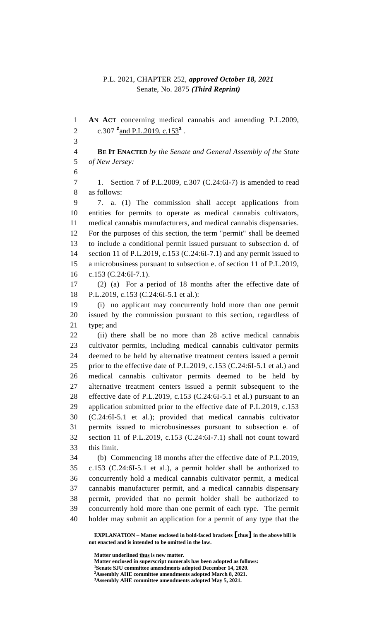# P.L. 2021, CHAPTER 252, *approved October 18, 2021* Senate, No. 2875 *(Third Reprint)*

 **AN ACT** concerning medical cannabis and amending P.L.2009, 2 c.307 <sup>2</sup> and P.L.2019, c.153<sup>2</sup>. **BE IT ENACTED** *by the Senate and General Assembly of the State of New Jersey:* 1. Section 7 of P.L.2009, c.307 (C.24:6I-7) is amended to read as follows: 7. a. (1) The commission shall accept applications from entities for permits to operate as medical cannabis cultivators, medical cannabis manufacturers, and medical cannabis dispensaries. For the purposes of this section, the term "permit" shall be deemed to include a conditional permit issued pursuant to subsection d. of section 11 of P.L.2019, c.153 (C.24:6I-7.1) and any permit issued to a microbusiness pursuant to subsection e. of section 11 of P.L.2019, c.153 (C.24:6I-7.1). (2) (a) For a period of 18 months after the effective date of P.L.2019, c.153 (C.24:6I-5.1 et al.): (i) no applicant may concurrently hold more than one permit issued by the commission pursuant to this section, regardless of type; and (ii) there shall be no more than 28 active medical cannabis cultivator permits, including medical cannabis cultivator permits deemed to be held by alternative treatment centers issued a permit prior to the effective date of P.L.2019, c.153 (C.24:6I-5.1 et al.) and medical cannabis cultivator permits deemed to be held by alternative treatment centers issued a permit subsequent to the effective date of P.L.2019, c.153 (C.24:6I-5.1 et al.) pursuant to an application submitted prior to the effective date of P.L.2019, c.153 (C.24:6I-5.1 et al.); provided that medical cannabis cultivator permits issued to microbusinesses pursuant to subsection e. of section 11 of P.L.2019, c.153 (C.24:6I-7.1) shall not count toward this limit. (b) Commencing 18 months after the effective date of P.L.2019, c.153 (C.24:6I-5.1 et al.), a permit holder shall be authorized to concurrently hold a medical cannabis cultivator permit, a medical cannabis manufacturer permit, and a medical cannabis dispensary permit, provided that no permit holder shall be authorized to concurrently hold more than one permit of each type. The permit holder may submit an application for a permit of any type that the

**EXPLANATION – Matter enclosed in bold-faced brackets [thus] in the above bill is not enacted and is intended to be omitted in the law.**

**Matter underlined thus is new matter.**

**Matter enclosed in superscript numerals has been adopted as follows: Senate SJU committee amendments adopted December 14, 2020. Assembly AHE committee amendments adopted March 8, 2021. Assembly AHE committee amendments adopted May 5, 2021.**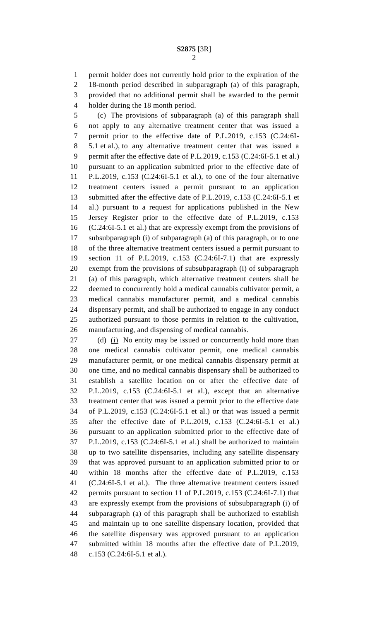permit holder does not currently hold prior to the expiration of the 18-month period described in subparagraph (a) of this paragraph, provided that no additional permit shall be awarded to the permit holder during the 18 month period.

 (c) The provisions of subparagraph (a) of this paragraph shall not apply to any alternative treatment center that was issued a permit prior to the effective date of P.L.2019, c.153 (C.24:6I- 5.1 et al.), to any alternative treatment center that was issued a permit after the effective date of P.L.2019, c.153 (C.24:6I-5.1 et al.) pursuant to an application submitted prior to the effective date of P.L.2019, c.153 (C.24:6I-5.1 et al.), to one of the four alternative treatment centers issued a permit pursuant to an application submitted after the effective date of P.L.2019, c.153 (C.24:6I-5.1 et al.) pursuant to a request for applications published in the New Jersey Register prior to the effective date of P.L.2019, c.153 (C.24:6I-5.1 et al.) that are expressly exempt from the provisions of subsubparagraph (i) of subparagraph (a) of this paragraph, or to one of the three alternative treatment centers issued a permit pursuant to section 11 of P.L.2019, c.153 (C.24:6I-7.1) that are expressly exempt from the provisions of subsubparagraph (i) of subparagraph (a) of this paragraph, which alternative treatment centers shall be deemed to concurrently hold a medical cannabis cultivator permit, a medical cannabis manufacturer permit, and a medical cannabis dispensary permit, and shall be authorized to engage in any conduct authorized pursuant to those permits in relation to the cultivation, manufacturing, and dispensing of medical cannabis.

27 (d) (i) No entity may be issued or concurrently hold more than one medical cannabis cultivator permit, one medical cannabis manufacturer permit, or one medical cannabis dispensary permit at one time, and no medical cannabis dispensary shall be authorized to establish a satellite location on or after the effective date of P.L.2019, c.153 (C.24:6I-5.1 et al.), except that an alternative treatment center that was issued a permit prior to the effective date of P.L.2019, c.153 (C.24:6I-5.1 et al.) or that was issued a permit after the effective date of P.L.2019, c.153 (C.24:6I-5.1 et al.) pursuant to an application submitted prior to the effective date of P.L.2019, c.153 (C.24:6I-5.1 et al.) shall be authorized to maintain up to two satellite dispensaries, including any satellite dispensary that was approved pursuant to an application submitted prior to or within 18 months after the effective date of P.L.2019, c.153 (C.24:6I-5.1 et al.). The three alternative treatment centers issued permits pursuant to section 11 of P.L.2019, c.153 (C.24:6I-7.1) that are expressly exempt from the provisions of subsubparagraph (i) of subparagraph (a) of this paragraph shall be authorized to establish and maintain up to one satellite dispensary location, provided that the satellite dispensary was approved pursuant to an application submitted within 18 months after the effective date of P.L.2019, c.153 (C.24:6I-5.1 et al.).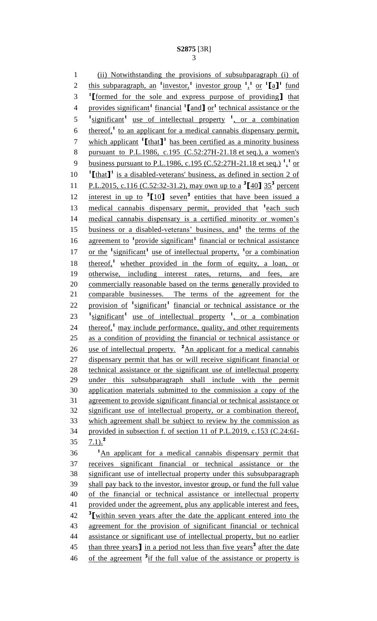1 (ii) Notwithstanding the provisions of subsubparagraph (i) of 2 this subparagraph, an <sup>1</sup> investor,<sup>1</sup> investor group <sup>1</sup>,<sup>1</sup> or <sup>1</sup>[a]<sup>1</sup> fund **1** 3 **[**formed for the sole and express purpose of providing**]** that provides significant**<sup>1</sup>** financial **<sup>1</sup> [**and**]** or**<sup>1</sup>** 4 technical assistance or the 5 <sup>1</sup> significant<sup>1</sup> use of intellectual property <sup>1</sup>, or a combination 6 thereof,<sup>1</sup> to an applicant for a medical cannabis dispensary permit, 7 which applicant  $\textbf{1}$  [that **]** has been certified as a minority business 8 pursuant to P.L.1986, c.195 (C.52:27H-21.18 et seq.), a women's 9 business pursuant to P.L.1986, c.195 (C.52:27H-21.18 et seq.)<sup>1</sup><sup>1</sup> or 10 <sup>1</sup>[that]<sup>1</sup> is a disabled-veterans' business, as defined in section 2 of 11 P.L.2015, c.116 (C.52:32-31.2), may own up to a  $^3$ [40]  $35^3$  percent 12 interest in up to <sup>3</sup>[10] seven<sup>3</sup> entities that have been issued a 13 medical cannabis dispensary permit, provided that <sup>1</sup> each such 14 medical cannabis dispensary is a certified minority or women's 15 business or a disabled-veterans' business, and<sup>1</sup> the terms of the 16 agreement to <sup>1</sup> provide significant<sup>1</sup> financial or technical assistance 17 or the <sup>1</sup>significant<sup>1</sup> use of intellectual property, <sup>1</sup> or a combination 18 thereof,<sup>1</sup> whether provided in the form of equity, a loan, or 19 otherwise, including interest rates, returns, and fees, are 20 commercially reasonable based on the terms generally provided to 21 comparable businesses. The terms of the agreement for the 22 provision of <sup>1</sup>significant<sup>1</sup> financial or technical assistance or the  $1$ <sup>1</sup> significant<sup>1</sup> use of intellectual property <sup>1</sup>, or a combination 24 thereof,<sup>1</sup> may include performance, quality, and other requirements 25 as a condition of providing the financial or technical assistance or 26 use of intellectual property. <sup>2</sup>An applicant for a medical cannabis 27 dispensary permit that has or will receive significant financial or 28 technical assistance or the significant use of intellectual property 29 under this subsubparagraph shall include with the permit 30 application materials submitted to the commission a copy of the 31 agreement to provide significant financial or technical assistance or 32 significant use of intellectual property, or a combination thereof, 33 which agreement shall be subject to review by the commission as 34 provided in subsection f. of section 11 of P.L.2019, c.153 (C.24:6I-7.1).**<sup>2</sup>** 35 <sup>1</sup>An applicant for a medical cannabis dispensary permit that 37 receives significant financial or technical assistance or the 38 significant use of intellectual property under this subsubparagraph 39 shall pay back to the investor, investor group, or fund the full value 40 of the financial or technical assistance or intellectual property

41 provided under the agreement, plus any applicable interest and fees, **3** 42 **[**within seven years after the date the applicant entered into the 43 agreement for the provision of significant financial or technical 44 assistance or significant use of intellectual property, but no earlier 15 than three years<sup>1</sup> in a period not less than five years<sup>3</sup> after the date 46 of the agreement <sup>3</sup>if the full value of the assistance or property is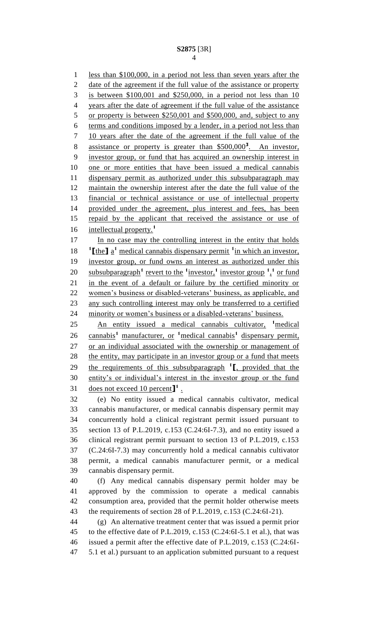less than \$100,000, in a period not less than seven years after the date of the agreement if the full value of the assistance or property is between \$100,001 and \$250,000, in a period not less than 10 years after the date of agreement if the full value of the assistance or property is between \$250,001 and \$500,000, and, subject to any terms and conditions imposed by a lender, in a period not less than 10 years after the date of the agreement if the full value of the 8 assistance or property is greater than \$500,000<sup>3</sup>. An investor, investor group, or fund that has acquired an ownership interest in one or more entities that have been issued a medical cannabis dispensary permit as authorized under this subsubparagraph may maintain the ownership interest after the date the full value of the financial or technical assistance or use of intellectual property provided under the agreement, plus interest and fees, has been repaid by the applicant that received the assistance or use of intellectual property.**<sup>1</sup>** 17 In no case may the controlling interest in the entity that holds **the**  $\int a^1$  medical cannabis dispensary permit <sup>1</sup> in which an investor, investor group, or fund owns an interest as authorized under this 20 subsubparagraph<sup>1</sup> revert to the <sup>1</sup> investor,<sup>1</sup> investor group  $\frac{1}{2}$  or fund in the event of a default or failure by the certified minority or women's business or disabled-veterans' business, as applicable, and any such controlling interest may only be transferred to a certified minority or women's business or a disabled-veterans' business. 25 An entity issued a medical cannabis cultivator, <sup>1</sup> medical 26 cannabis<sup>1</sup> manufacturer, or <sup>1</sup>medical cannabis<sup>1</sup> dispensary permit,

 or an individual associated with the ownership or management of 28 the entity, may participate in an investor group or a fund that meets 29 the requirements of this subsubparagraph <sup>1</sup><sub>L</sub>, provided that the entity's or individual's interest in the investor group or the fund does not exceed 10 percent**] 1** .

 (e) No entity issued a medical cannabis cultivator, medical cannabis manufacturer, or medical cannabis dispensary permit may concurrently hold a clinical registrant permit issued pursuant to section 13 of P.L.2019, c.153 (C.24:6I-7.3), and no entity issued a clinical registrant permit pursuant to section 13 of P.L.2019, c.153 (C.24:6I-7.3) may concurrently hold a medical cannabis cultivator permit, a medical cannabis manufacturer permit, or a medical cannabis dispensary permit.

 (f) Any medical cannabis dispensary permit holder may be approved by the commission to operate a medical cannabis consumption area, provided that the permit holder otherwise meets the requirements of section 28 of P.L.2019, c.153 (C.24:6I-21).

 (g) An alternative treatment center that was issued a permit prior to the effective date of P.L.2019, c.153 (C.24:6I-5.1 et al.), that was issued a permit after the effective date of P.L.2019, c.153 (C.24:6I-5.1 et al.) pursuant to an application submitted pursuant to a request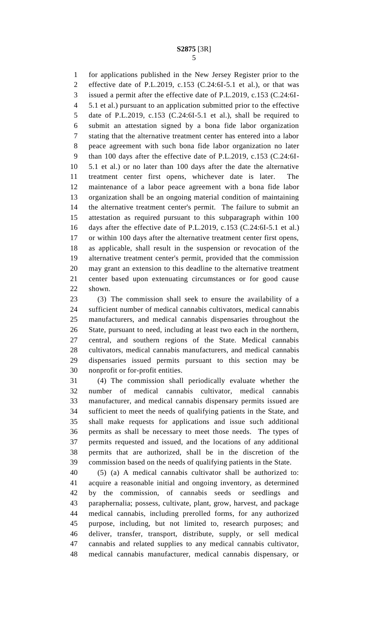for applications published in the New Jersey Register prior to the effective date of P.L.2019, c.153 (C.24:6I-5.1 et al.), or that was issued a permit after the effective date of P.L.2019, c.153 (C.24:6I- 5.1 et al.) pursuant to an application submitted prior to the effective date of P.L.2019, c.153 (C.24:6I-5.1 et al.), shall be required to submit an attestation signed by a bona fide labor organization stating that the alternative treatment center has entered into a labor peace agreement with such bona fide labor organization no later than 100 days after the effective date of P.L.2019, c.153 (C.24:6I- 5.1 et al.) or no later than 100 days after the date the alternative treatment center first opens, whichever date is later. The maintenance of a labor peace agreement with a bona fide labor organization shall be an ongoing material condition of maintaining the alternative treatment center's permit. The failure to submit an attestation as required pursuant to this subparagraph within 100 days after the effective date of P.L.2019, c.153 (C.24:6I-5.1 et al.) or within 100 days after the alternative treatment center first opens, as applicable, shall result in the suspension or revocation of the alternative treatment center's permit, provided that the commission may grant an extension to this deadline to the alternative treatment center based upon extenuating circumstances or for good cause shown.

 (3) The commission shall seek to ensure the availability of a sufficient number of medical cannabis cultivators, medical cannabis manufacturers, and medical cannabis dispensaries throughout the State, pursuant to need, including at least two each in the northern, central, and southern regions of the State. Medical cannabis cultivators, medical cannabis manufacturers, and medical cannabis dispensaries issued permits pursuant to this section may be nonprofit or for-profit entities.

 (4) The commission shall periodically evaluate whether the number of medical cannabis cultivator, medical cannabis manufacturer, and medical cannabis dispensary permits issued are sufficient to meet the needs of qualifying patients in the State, and shall make requests for applications and issue such additional permits as shall be necessary to meet those needs. The types of permits requested and issued, and the locations of any additional permits that are authorized, shall be in the discretion of the commission based on the needs of qualifying patients in the State.

 (5) (a) A medical cannabis cultivator shall be authorized to: acquire a reasonable initial and ongoing inventory, as determined by the commission, of cannabis seeds or seedlings and paraphernalia; possess, cultivate, plant, grow, harvest, and package medical cannabis, including prerolled forms, for any authorized purpose, including, but not limited to, research purposes; and deliver, transfer, transport, distribute, supply, or sell medical cannabis and related supplies to any medical cannabis cultivator, medical cannabis manufacturer, medical cannabis dispensary, or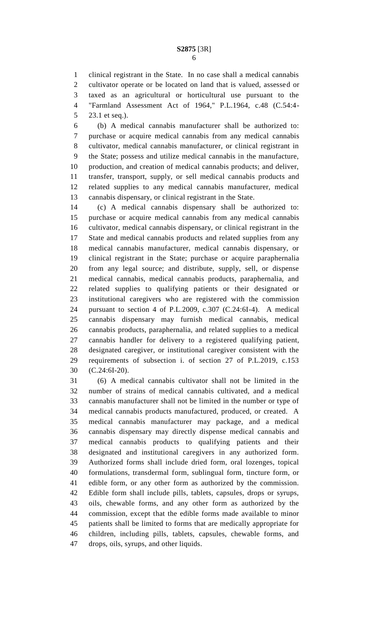clinical registrant in the State. In no case shall a medical cannabis cultivator operate or be located on land that is valued, assessed or taxed as an agricultural or horticultural use pursuant to the "Farmland Assessment Act of 1964," P.L.1964, c.48 (C.54:4- 23.1 et seq.).

 (b) A medical cannabis manufacturer shall be authorized to: purchase or acquire medical cannabis from any medical cannabis cultivator, medical cannabis manufacturer, or clinical registrant in the State; possess and utilize medical cannabis in the manufacture, production, and creation of medical cannabis products; and deliver, transfer, transport, supply, or sell medical cannabis products and related supplies to any medical cannabis manufacturer, medical cannabis dispensary, or clinical registrant in the State.

 (c) A medical cannabis dispensary shall be authorized to: purchase or acquire medical cannabis from any medical cannabis cultivator, medical cannabis dispensary, or clinical registrant in the State and medical cannabis products and related supplies from any medical cannabis manufacturer, medical cannabis dispensary, or clinical registrant in the State; purchase or acquire paraphernalia from any legal source; and distribute, supply, sell, or dispense medical cannabis, medical cannabis products, paraphernalia, and related supplies to qualifying patients or their designated or institutional caregivers who are registered with the commission pursuant to section 4 of P.L.2009, c.307 (C.24:6I-4). A medical cannabis dispensary may furnish medical cannabis, medical cannabis products, paraphernalia, and related supplies to a medical cannabis handler for delivery to a registered qualifying patient, designated caregiver, or institutional caregiver consistent with the requirements of subsection i. of section 27 of P.L.2019, c.153 (C.24:6I-20).

 (6) A medical cannabis cultivator shall not be limited in the number of strains of medical cannabis cultivated, and a medical cannabis manufacturer shall not be limited in the number or type of medical cannabis products manufactured, produced, or created. A medical cannabis manufacturer may package, and a medical cannabis dispensary may directly dispense medical cannabis and medical cannabis products to qualifying patients and their designated and institutional caregivers in any authorized form. Authorized forms shall include dried form, oral lozenges, topical formulations, transdermal form, sublingual form, tincture form, or edible form, or any other form as authorized by the commission. Edible form shall include pills, tablets, capsules, drops or syrups, oils, chewable forms, and any other form as authorized by the commission, except that the edible forms made available to minor patients shall be limited to forms that are medically appropriate for children, including pills, tablets, capsules, chewable forms, and drops, oils, syrups, and other liquids.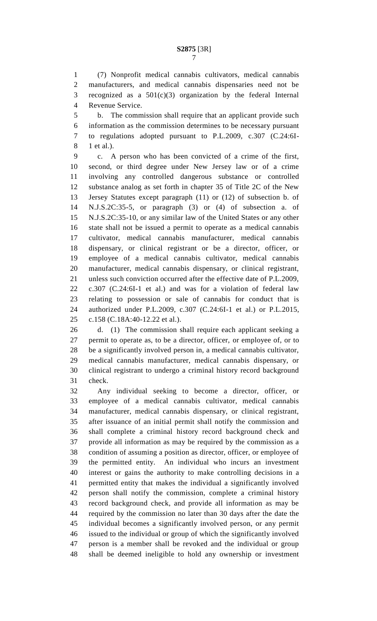(7) Nonprofit medical cannabis cultivators, medical cannabis manufacturers, and medical cannabis dispensaries need not be recognized as a 501(c)(3) organization by the federal Internal Revenue Service.

 b. The commission shall require that an applicant provide such information as the commission determines to be necessary pursuant to regulations adopted pursuant to P.L.2009, c.307 (C.24:6I-1 et al.).

 c. A person who has been convicted of a crime of the first, second, or third degree under New Jersey law or of a crime involving any controlled dangerous substance or controlled substance analog as set forth in chapter 35 of Title 2C of the New Jersey Statutes except paragraph (11) or (12) of subsection b. of N.J.S.2C:35-5, or paragraph (3) or (4) of subsection a. of N.J.S.2C:35-10, or any similar law of the United States or any other state shall not be issued a permit to operate as a medical cannabis cultivator, medical cannabis manufacturer, medical cannabis dispensary, or clinical registrant or be a director, officer, or employee of a medical cannabis cultivator, medical cannabis manufacturer, medical cannabis dispensary, or clinical registrant, unless such conviction occurred after the effective date of P.L.2009, c.307 (C.24:6I-1 et al.) and was for a violation of federal law relating to possession or sale of cannabis for conduct that is authorized under P.L.2009, c.307 (C.24:6I-1 et al.) or P.L.2015, c.158 (C.18A:40-12.22 et al.).

 d. (1) The commission shall require each applicant seeking a permit to operate as, to be a director, officer, or employee of, or to be a significantly involved person in, a medical cannabis cultivator, medical cannabis manufacturer, medical cannabis dispensary, or clinical registrant to undergo a criminal history record background check.

 Any individual seeking to become a director, officer, or employee of a medical cannabis cultivator, medical cannabis manufacturer, medical cannabis dispensary, or clinical registrant, after issuance of an initial permit shall notify the commission and shall complete a criminal history record background check and provide all information as may be required by the commission as a condition of assuming a position as director, officer, or employee of the permitted entity. An individual who incurs an investment interest or gains the authority to make controlling decisions in a permitted entity that makes the individual a significantly involved person shall notify the commission, complete a criminal history record background check, and provide all information as may be required by the commission no later than 30 days after the date the individual becomes a significantly involved person, or any permit issued to the individual or group of which the significantly involved person is a member shall be revoked and the individual or group shall be deemed ineligible to hold any ownership or investment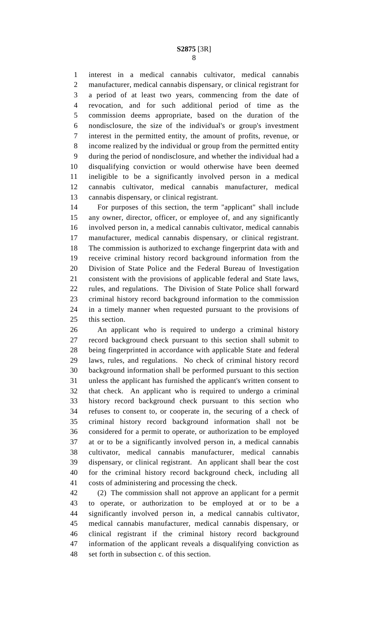interest in a medical cannabis cultivator, medical cannabis manufacturer, medical cannabis dispensary, or clinical registrant for a period of at least two years, commencing from the date of revocation, and for such additional period of time as the commission deems appropriate, based on the duration of the nondisclosure, the size of the individual's or group's investment interest in the permitted entity, the amount of profits, revenue, or income realized by the individual or group from the permitted entity during the period of nondisclosure, and whether the individual had a disqualifying conviction or would otherwise have been deemed ineligible to be a significantly involved person in a medical cannabis cultivator, medical cannabis manufacturer, medical cannabis dispensary, or clinical registrant.

 For purposes of this section, the term "applicant" shall include any owner, director, officer, or employee of, and any significantly involved person in, a medical cannabis cultivator, medical cannabis manufacturer, medical cannabis dispensary, or clinical registrant. The commission is authorized to exchange fingerprint data with and receive criminal history record background information from the Division of State Police and the Federal Bureau of Investigation consistent with the provisions of applicable federal and State laws, rules, and regulations. The Division of State Police shall forward criminal history record background information to the commission in a timely manner when requested pursuant to the provisions of this section.

 An applicant who is required to undergo a criminal history record background check pursuant to this section shall submit to being fingerprinted in accordance with applicable State and federal laws, rules, and regulations. No check of criminal history record background information shall be performed pursuant to this section unless the applicant has furnished the applicant's written consent to that check. An applicant who is required to undergo a criminal history record background check pursuant to this section who refuses to consent to, or cooperate in, the securing of a check of criminal history record background information shall not be considered for a permit to operate, or authorization to be employed at or to be a significantly involved person in, a medical cannabis cultivator, medical cannabis manufacturer, medical cannabis dispensary, or clinical registrant. An applicant shall bear the cost for the criminal history record background check, including all costs of administering and processing the check.

 (2) The commission shall not approve an applicant for a permit to operate, or authorization to be employed at or to be a significantly involved person in, a medical cannabis cultivator, medical cannabis manufacturer, medical cannabis dispensary, or clinical registrant if the criminal history record background information of the applicant reveals a disqualifying conviction as set forth in subsection c. of this section.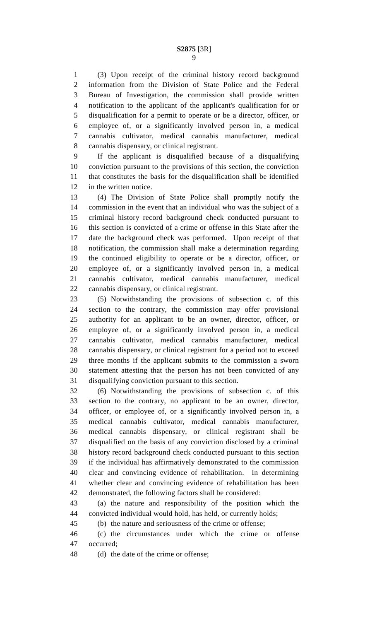(3) Upon receipt of the criminal history record background information from the Division of State Police and the Federal Bureau of Investigation, the commission shall provide written notification to the applicant of the applicant's qualification for or disqualification for a permit to operate or be a director, officer, or employee of, or a significantly involved person in, a medical cannabis cultivator, medical cannabis manufacturer, medical cannabis dispensary, or clinical registrant.

 If the applicant is disqualified because of a disqualifying conviction pursuant to the provisions of this section, the conviction that constitutes the basis for the disqualification shall be identified in the written notice.

 (4) The Division of State Police shall promptly notify the commission in the event that an individual who was the subject of a criminal history record background check conducted pursuant to this section is convicted of a crime or offense in this State after the date the background check was performed. Upon receipt of that notification, the commission shall make a determination regarding the continued eligibility to operate or be a director, officer, or employee of, or a significantly involved person in, a medical cannabis cultivator, medical cannabis manufacturer, medical cannabis dispensary, or clinical registrant.

 (5) Notwithstanding the provisions of subsection c. of this section to the contrary, the commission may offer provisional authority for an applicant to be an owner, director, officer, or employee of, or a significantly involved person in, a medical cannabis cultivator, medical cannabis manufacturer, medical cannabis dispensary, or clinical registrant for a period not to exceed three months if the applicant submits to the commission a sworn statement attesting that the person has not been convicted of any disqualifying conviction pursuant to this section.

 (6) Notwithstanding the provisions of subsection c. of this section to the contrary, no applicant to be an owner, director, officer, or employee of, or a significantly involved person in, a medical cannabis cultivator, medical cannabis manufacturer, medical cannabis dispensary, or clinical registrant shall be disqualified on the basis of any conviction disclosed by a criminal history record background check conducted pursuant to this section if the individual has affirmatively demonstrated to the commission clear and convincing evidence of rehabilitation. In determining whether clear and convincing evidence of rehabilitation has been demonstrated, the following factors shall be considered:

 (a) the nature and responsibility of the position which the convicted individual would hold, has held, or currently holds;

(b) the nature and seriousness of the crime or offense;

 (c) the circumstances under which the crime or offense occurred;

(d) the date of the crime or offense;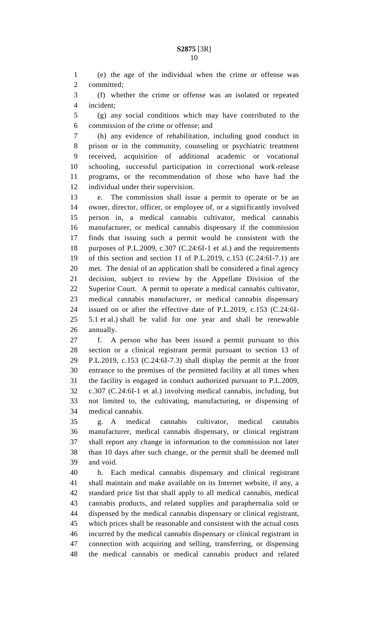(e) the age of the individual when the crime or offense was committed;

 (f) whether the crime or offense was an isolated or repeated incident;

 (g) any social conditions which may have contributed to the commission of the crime or offense; and

 (h) any evidence of rehabilitation, including good conduct in prison or in the community, counseling or psychiatric treatment received, acquisition of additional academic or vocational schooling, successful participation in correctional work-release programs, or the recommendation of those who have had the individual under their supervision.

 e. The commission shall issue a permit to operate or be an owner, director, officer, or employee of, or a significantly involved person in, a medical cannabis cultivator, medical cannabis manufacturer, or medical cannabis dispensary if the commission finds that issuing such a permit would be consistent with the purposes of P.L.2009, c.307 (C.24:6I-1 et al.) and the requirements of this section and section 11 of P.L.2019, c.153 (C.24:6I-7.1) are met. The denial of an application shall be considered a final agency decision, subject to review by the Appellate Division of the Superior Court. A permit to operate a medical cannabis cultivator, medical cannabis manufacturer, or medical cannabis dispensary issued on or after the effective date of P.L.2019, c.153 (C.24:6I- 5.1 et al.) shall be valid for one year and shall be renewable annually.

 f. A person who has been issued a permit pursuant to this section or a clinical registrant permit pursuant to section 13 of P.L.2019, c.153 (C.24:6I-7.3) shall display the permit at the front entrance to the premises of the permitted facility at all times when the facility is engaged in conduct authorized pursuant to P.L.2009, c.307 (C.24:6I-1 et al.) involving medical cannabis, including, but not limited to, the cultivating, manufacturing, or dispensing of medical cannabis.

 g. A medical cannabis cultivator, medical cannabis manufacturer, medical cannabis dispensary, or clinical registrant shall report any change in information to the commission not later than 10 days after such change, or the permit shall be deemed null and void.

 h. Each medical cannabis dispensary and clinical registrant shall maintain and make available on its Internet website, if any, a standard price list that shall apply to all medical cannabis, medical cannabis products, and related supplies and paraphernalia sold or dispensed by the medical cannabis dispensary or clinical registrant, which prices shall be reasonable and consistent with the actual costs incurred by the medical cannabis dispensary or clinical registrant in connection with acquiring and selling, transferring, or dispensing the medical cannabis or medical cannabis product and related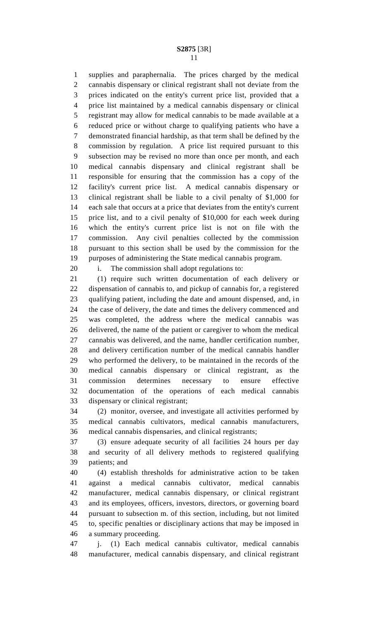supplies and paraphernalia. The prices charged by the medical cannabis dispensary or clinical registrant shall not deviate from the prices indicated on the entity's current price list, provided that a price list maintained by a medical cannabis dispensary or clinical registrant may allow for medical cannabis to be made available at a reduced price or without charge to qualifying patients who have a demonstrated financial hardship, as that term shall be defined by the commission by regulation. A price list required pursuant to this subsection may be revised no more than once per month, and each medical cannabis dispensary and clinical registrant shall be responsible for ensuring that the commission has a copy of the facility's current price list. A medical cannabis dispensary or clinical registrant shall be liable to a civil penalty of \$1,000 for each sale that occurs at a price that deviates from the entity's current price list, and to a civil penalty of \$10,000 for each week during which the entity's current price list is not on file with the commission. Any civil penalties collected by the commission pursuant to this section shall be used by the commission for the purposes of administering the State medical cannabis program.

i. The commission shall adopt regulations to:

 (1) require such written documentation of each delivery or dispensation of cannabis to, and pickup of cannabis for, a registered qualifying patient, including the date and amount dispensed, and, in the case of delivery, the date and times the delivery commenced and was completed, the address where the medical cannabis was delivered, the name of the patient or caregiver to whom the medical cannabis was delivered, and the name, handler certification number, and delivery certification number of the medical cannabis handler who performed the delivery, to be maintained in the records of the medical cannabis dispensary or clinical registrant, as the commission determines necessary to ensure effective documentation of the operations of each medical cannabis dispensary or clinical registrant;

 (2) monitor, oversee, and investigate all activities performed by medical cannabis cultivators, medical cannabis manufacturers, medical cannabis dispensaries, and clinical registrants;

 (3) ensure adequate security of all facilities 24 hours per day and security of all delivery methods to registered qualifying patients; and

 (4) establish thresholds for administrative action to be taken against a medical cannabis cultivator, medical cannabis manufacturer, medical cannabis dispensary, or clinical registrant and its employees, officers, investors, directors, or governing board pursuant to subsection m. of this section, including, but not limited to, specific penalties or disciplinary actions that may be imposed in a summary proceeding.

 j. (1) Each medical cannabis cultivator, medical cannabis manufacturer, medical cannabis dispensary, and clinical registrant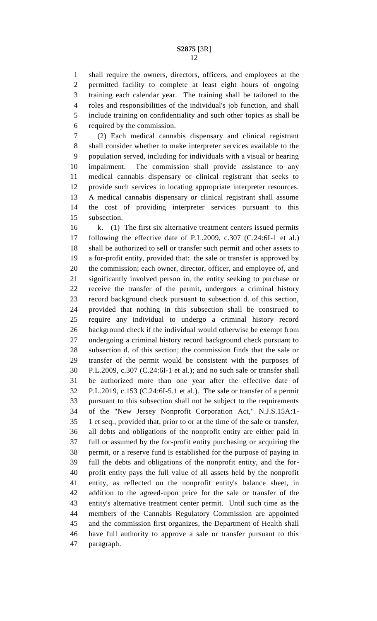shall require the owners, directors, officers, and employees at the permitted facility to complete at least eight hours of ongoing training each calendar year. The training shall be tailored to the roles and responsibilities of the individual's job function, and shall include training on confidentiality and such other topics as shall be required by the commission.

 (2) Each medical cannabis dispensary and clinical registrant shall consider whether to make interpreter services available to the population served, including for individuals with a visual or hearing impairment. The commission shall provide assistance to any medical cannabis dispensary or clinical registrant that seeks to provide such services in locating appropriate interpreter resources. A medical cannabis dispensary or clinical registrant shall assume the cost of providing interpreter services pursuant to this subsection.

 k. (1) The first six alternative treatment centers issued permits following the effective date of P.L.2009, c.307 (C.24:6I-1 et al.) shall be authorized to sell or transfer such permit and other assets to a for-profit entity, provided that: the sale or transfer is approved by the commission; each owner, director, officer, and employee of, and significantly involved person in, the entity seeking to purchase or receive the transfer of the permit, undergoes a criminal history record background check pursuant to subsection d. of this section, provided that nothing in this subsection shall be construed to require any individual to undergo a criminal history record background check if the individual would otherwise be exempt from undergoing a criminal history record background check pursuant to subsection d. of this section; the commission finds that the sale or transfer of the permit would be consistent with the purposes of P.L.2009, c.307 (C.24:6I-1 et al.); and no such sale or transfer shall be authorized more than one year after the effective date of P.L.2019, c.153 (C.24:6I-5.1 et al.). The sale or transfer of a permit pursuant to this subsection shall not be subject to the requirements of the "New Jersey Nonprofit Corporation Act," N.J.S.15A:1- 1 et seq., provided that, prior to or at the time of the sale or transfer, all debts and obligations of the nonprofit entity are either paid in full or assumed by the for-profit entity purchasing or acquiring the permit, or a reserve fund is established for the purpose of paying in full the debts and obligations of the nonprofit entity, and the for- profit entity pays the full value of all assets held by the nonprofit entity, as reflected on the nonprofit entity's balance sheet, in addition to the agreed-upon price for the sale or transfer of the entity's alternative treatment center permit. Until such time as the members of the Cannabis Regulatory Commission are appointed and the commission first organizes, the Department of Health shall have full authority to approve a sale or transfer pursuant to this paragraph.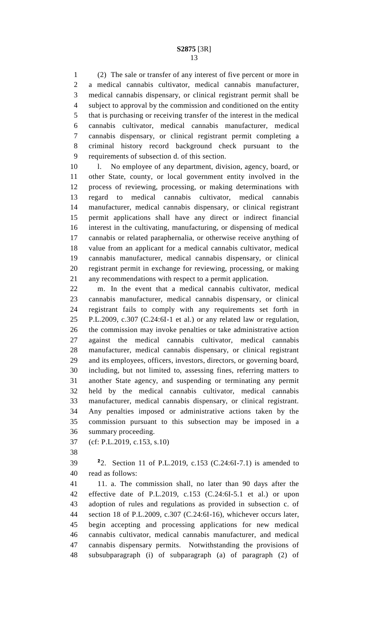(2) The sale or transfer of any interest of five percent or more in a medical cannabis cultivator, medical cannabis manufacturer, medical cannabis dispensary, or clinical registrant permit shall be subject to approval by the commission and conditioned on the entity that is purchasing or receiving transfer of the interest in the medical cannabis cultivator, medical cannabis manufacturer, medical cannabis dispensary, or clinical registrant permit completing a criminal history record background check pursuant to the requirements of subsection d. of this section.

10 l. No employee of any department, division, agency, board, or other State, county, or local government entity involved in the process of reviewing, processing, or making determinations with regard to medical cannabis cultivator, medical cannabis manufacturer, medical cannabis dispensary, or clinical registrant permit applications shall have any direct or indirect financial interest in the cultivating, manufacturing, or dispensing of medical cannabis or related paraphernalia, or otherwise receive anything of value from an applicant for a medical cannabis cultivator, medical cannabis manufacturer, medical cannabis dispensary, or clinical registrant permit in exchange for reviewing, processing, or making any recommendations with respect to a permit application.

 m. In the event that a medical cannabis cultivator, medical cannabis manufacturer, medical cannabis dispensary, or clinical registrant fails to comply with any requirements set forth in P.L.2009, c.307 (C.24:6I-1 et al.) or any related law or regulation, the commission may invoke penalties or take administrative action against the medical cannabis cultivator, medical cannabis manufacturer, medical cannabis dispensary, or clinical registrant and its employees, officers, investors, directors, or governing board, including, but not limited to, assessing fines, referring matters to another State agency, and suspending or terminating any permit held by the medical cannabis cultivator, medical cannabis manufacturer, medical cannabis dispensary, or clinical registrant. Any penalties imposed or administrative actions taken by the commission pursuant to this subsection may be imposed in a summary proceeding.

(cf: P.L.2019, c.153, s.10)

**2** 2. Section 11 of P.L.2019, c.153 (C.24:6I-7.1) is amended to read as follows:

 11. a. The commission shall, no later than 90 days after the effective date of P.L.2019, c.153 (C.24:6I-5.1 et al.) or upon adoption of rules and regulations as provided in subsection c. of section 18 of P.L.2009, c.307 (C.24:6I-16), whichever occurs later, begin accepting and processing applications for new medical cannabis cultivator, medical cannabis manufacturer, and medical cannabis dispensary permits. Notwithstanding the provisions of subsubparagraph (i) of subparagraph (a) of paragraph (2) of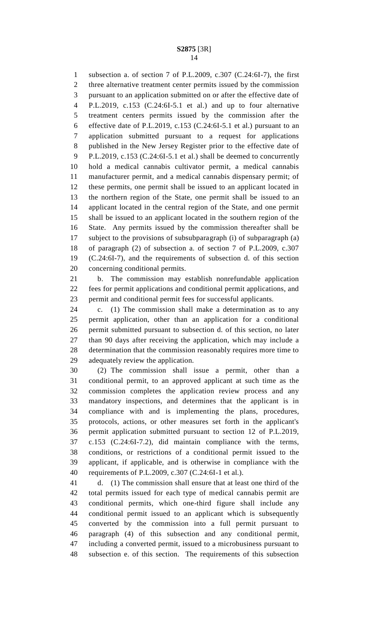subsection a. of section 7 of P.L.2009, c.307 (C.24:6I-7), the first three alternative treatment center permits issued by the commission pursuant to an application submitted on or after the effective date of P.L.2019, c.153 (C.24:6I-5.1 et al.) and up to four alternative treatment centers permits issued by the commission after the effective date of P.L.2019, c.153 (C.24:6I-5.1 et al.) pursuant to an application submitted pursuant to a request for applications published in the New Jersey Register prior to the effective date of P.L.2019, c.153 (C.24:6I-5.1 et al.) shall be deemed to concurrently hold a medical cannabis cultivator permit, a medical cannabis manufacturer permit, and a medical cannabis dispensary permit; of these permits, one permit shall be issued to an applicant located in the northern region of the State, one permit shall be issued to an applicant located in the central region of the State, and one permit shall be issued to an applicant located in the southern region of the State. Any permits issued by the commission thereafter shall be subject to the provisions of subsubparagraph (i) of subparagraph (a) of paragraph (2) of subsection a. of section 7 of P.L.2009, c.307 (C.24:6I-7), and the requirements of subsection d. of this section concerning conditional permits.

 b. The commission may establish nonrefundable application fees for permit applications and conditional permit applications, and permit and conditional permit fees for successful applicants.

 c. (1) The commission shall make a determination as to any permit application, other than an application for a conditional permit submitted pursuant to subsection d. of this section, no later than 90 days after receiving the application, which may include a determination that the commission reasonably requires more time to adequately review the application.

 (2) The commission shall issue a permit, other than a conditional permit, to an approved applicant at such time as the commission completes the application review process and any mandatory inspections, and determines that the applicant is in compliance with and is implementing the plans, procedures, protocols, actions, or other measures set forth in the applicant's permit application submitted pursuant to section 12 of P.L.2019, c.153 (C.24:6I-7.2), did maintain compliance with the terms, conditions, or restrictions of a conditional permit issued to the applicant, if applicable, and is otherwise in compliance with the requirements of P.L.2009, c.307 (C.24:6I-1 et al.).

 d. (1) The commission shall ensure that at least one third of the total permits issued for each type of medical cannabis permit are conditional permits, which one-third figure shall include any conditional permit issued to an applicant which is subsequently converted by the commission into a full permit pursuant to paragraph (4) of this subsection and any conditional permit, including a converted permit, issued to a microbusiness pursuant to subsection e. of this section. The requirements of this subsection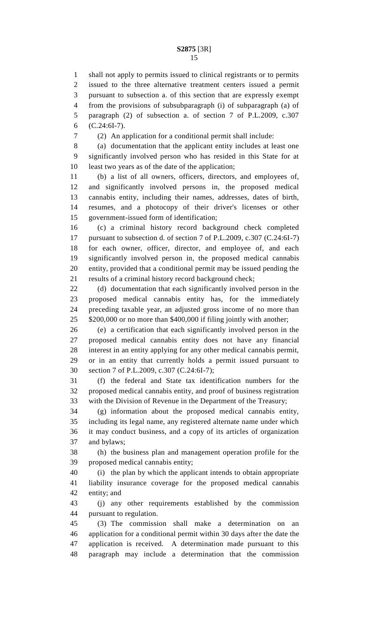shall not apply to permits issued to clinical registrants or to permits issued to the three alternative treatment centers issued a permit pursuant to subsection a. of this section that are expressly exempt from the provisions of subsubparagraph (i) of subparagraph (a) of paragraph (2) of subsection a. of section 7 of P.L.2009, c.307 (C.24:6I-7).

(2) An application for a conditional permit shall include:

 (a) documentation that the applicant entity includes at least one significantly involved person who has resided in this State for at least two years as of the date of the application;

 (b) a list of all owners, officers, directors, and employees of, and significantly involved persons in, the proposed medical cannabis entity, including their names, addresses, dates of birth, resumes, and a photocopy of their driver's licenses or other government-issued form of identification;

 (c) a criminal history record background check completed pursuant to subsection d. of section 7 of P.L.2009, c.307 (C.24:6I-7) for each owner, officer, director, and employee of, and each significantly involved person in, the proposed medical cannabis entity, provided that a conditional permit may be issued pending the results of a criminal history record background check;

22 (d) documentation that each significantly involved person in the proposed medical cannabis entity has, for the immediately preceding taxable year, an adjusted gross income of no more than \$200,000 or no more than \$400,000 if filing jointly with another;

 (e) a certification that each significantly involved person in the proposed medical cannabis entity does not have any financial interest in an entity applying for any other medical cannabis permit, or in an entity that currently holds a permit issued pursuant to section 7 of P.L.2009, c.307 (C.24:6I-7);

 (f) the federal and State tax identification numbers for the proposed medical cannabis entity, and proof of business registration with the Division of Revenue in the Department of the Treasury;

 (g) information about the proposed medical cannabis entity, including its legal name, any registered alternate name under which it may conduct business, and a copy of its articles of organization and bylaws;

 (h) the business plan and management operation profile for the proposed medical cannabis entity;

 (i) the plan by which the applicant intends to obtain appropriate liability insurance coverage for the proposed medical cannabis entity; and

 (j) any other requirements established by the commission pursuant to regulation.

 (3) The commission shall make a determination on an application for a conditional permit within 30 days after the date the application is received. A determination made pursuant to this paragraph may include a determination that the commission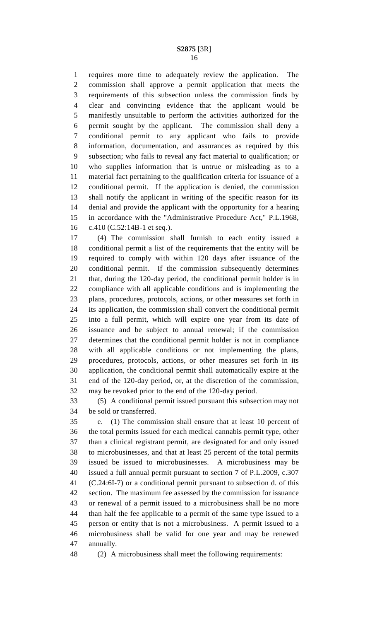requires more time to adequately review the application. The commission shall approve a permit application that meets the requirements of this subsection unless the commission finds by clear and convincing evidence that the applicant would be manifestly unsuitable to perform the activities authorized for the permit sought by the applicant. The commission shall deny a conditional permit to any applicant who fails to provide information, documentation, and assurances as required by this subsection; who fails to reveal any fact material to qualification; or who supplies information that is untrue or misleading as to a material fact pertaining to the qualification criteria for issuance of a conditional permit. If the application is denied, the commission shall notify the applicant in writing of the specific reason for its denial and provide the applicant with the opportunity for a hearing in accordance with the "Administrative Procedure Act," P.L.1968, c.410 (C.52:14B-1 et seq.).

 (4) The commission shall furnish to each entity issued a conditional permit a list of the requirements that the entity will be required to comply with within 120 days after issuance of the conditional permit. If the commission subsequently determines that, during the 120-day period, the conditional permit holder is in compliance with all applicable conditions and is implementing the plans, procedures, protocols, actions, or other measures set forth in its application, the commission shall convert the conditional permit into a full permit, which will expire one year from its date of issuance and be subject to annual renewal; if the commission determines that the conditional permit holder is not in compliance with all applicable conditions or not implementing the plans, procedures, protocols, actions, or other measures set forth in its application, the conditional permit shall automatically expire at the end of the 120-day period, or, at the discretion of the commission, may be revoked prior to the end of the 120-day period.

 (5) A conditional permit issued pursuant this subsection may not be sold or transferred.

 e. (1) The commission shall ensure that at least 10 percent of the total permits issued for each medical cannabis permit type, other than a clinical registrant permit, are designated for and only issued to microbusinesses, and that at least 25 percent of the total permits issued be issued to microbusinesses. A microbusiness may be issued a full annual permit pursuant to section 7 of P.L.2009, c.307 (C.24:6I-7) or a conditional permit pursuant to subsection d. of this section. The maximum fee assessed by the commission for issuance or renewal of a permit issued to a microbusiness shall be no more than half the fee applicable to a permit of the same type issued to a person or entity that is not a microbusiness. A permit issued to a microbusiness shall be valid for one year and may be renewed annually.

(2) A microbusiness shall meet the following requirements: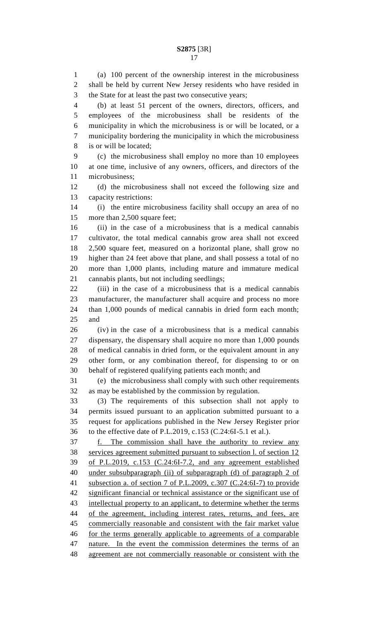(a) 100 percent of the ownership interest in the microbusiness shall be held by current New Jersey residents who have resided in the State for at least the past two consecutive years;

 (b) at least 51 percent of the owners, directors, officers, and employees of the microbusiness shall be residents of the municipality in which the microbusiness is or will be located, or a municipality bordering the municipality in which the microbusiness is or will be located;

 (c) the microbusiness shall employ no more than 10 employees at one time, inclusive of any owners, officers, and directors of the microbusiness;

 (d) the microbusiness shall not exceed the following size and capacity restrictions:

 (i) the entire microbusiness facility shall occupy an area of no more than 2,500 square feet;

 (ii) in the case of a microbusiness that is a medical cannabis cultivator, the total medical cannabis grow area shall not exceed 2,500 square feet, measured on a horizontal plane, shall grow no higher than 24 feet above that plane, and shall possess a total of no more than 1,000 plants, including mature and immature medical cannabis plants, but not including seedlings;

 (iii) in the case of a microbusiness that is a medical cannabis manufacturer, the manufacturer shall acquire and process no more than 1,000 pounds of medical cannabis in dried form each month; and

 (iv) in the case of a microbusiness that is a medical cannabis dispensary, the dispensary shall acquire no more than 1,000 pounds of medical cannabis in dried form, or the equivalent amount in any other form, or any combination thereof, for dispensing to or on behalf of registered qualifying patients each month; and

 (e) the microbusiness shall comply with such other requirements as may be established by the commission by regulation.

 (3) The requirements of this subsection shall not apply to permits issued pursuant to an application submitted pursuant to a request for applications published in the New Jersey Register prior to the effective date of P.L.2019, c.153 (C.24:6I-5.1 et al.).

 f. The commission shall have the authority to review any services agreement submitted pursuant to subsection l. of section 12 of P.L.2019, c.153 (C.24:6I-7.2, and any agreement established under subsubparagraph (ii) of subparagraph (d) of paragraph 2 of subsection a. of section 7 of P.L.2009, c.307 (C.24:6I-7) to provide significant financial or technical assistance or the significant use of 43 intellectual property to an applicant, to determine whether the terms of the agreement, including interest rates, returns, and fees, are commercially reasonable and consistent with the fair market value for the terms generally applicable to agreements of a comparable 47 nature. In the event the commission determines the terms of an agreement are not commercially reasonable or consistent with the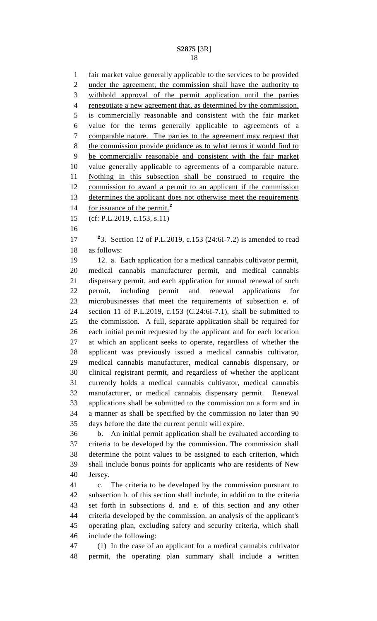fair market value generally applicable to the services to be provided under the agreement, the commission shall have the authority to withhold approval of the permit application until the parties renegotiate a new agreement that, as determined by the commission, is commercially reasonable and consistent with the fair market value for the terms generally applicable to agreements of a comparable nature. The parties to the agreement may request that the commission provide guidance as to what terms it would find to be commercially reasonable and consistent with the fair market value generally applicable to agreements of a comparable nature. Nothing in this subsection shall be construed to require the commission to award a permit to an applicant if the commission 13 determines the applicant does not otherwise meet the requirements for issuance of the permit.**<sup>2</sup>** (cf: P.L.2019, c.153, s.11) 3. Section 12 of P.L.2019, c.153 (24:6I-7.2) is amended to read as follows: 12. a. Each application for a medical cannabis cultivator permit, medical cannabis manufacturer permit, and medical cannabis dispensary permit, and each application for annual renewal of such permit, including permit and renewal applications for microbusinesses that meet the requirements of subsection e. of section 11 of P.L.2019, c.153 (C.24:6I-7.1), shall be submitted to the commission. A full, separate application shall be required for each initial permit requested by the applicant and for each location at which an applicant seeks to operate, regardless of whether the applicant was previously issued a medical cannabis cultivator, medical cannabis manufacturer, medical cannabis dispensary, or clinical registrant permit, and regardless of whether the applicant currently holds a medical cannabis cultivator, medical cannabis manufacturer, or medical cannabis dispensary permit. Renewal applications shall be submitted to the commission on a form and in a manner as shall be specified by the commission no later than 90 days before the date the current permit will expire. b. An initial permit application shall be evaluated according to criteria to be developed by the commission. The commission shall determine the point values to be assigned to each criterion, which shall include bonus points for applicants who are residents of New Jersey. c. The criteria to be developed by the commission pursuant to subsection b. of this section shall include, in addition to the criteria set forth in subsections d. and e. of this section and any other criteria developed by the commission, an analysis of the applicant's operating plan, excluding safety and security criteria, which shall include the following: (1) In the case of an applicant for a medical cannabis cultivator permit, the operating plan summary shall include a written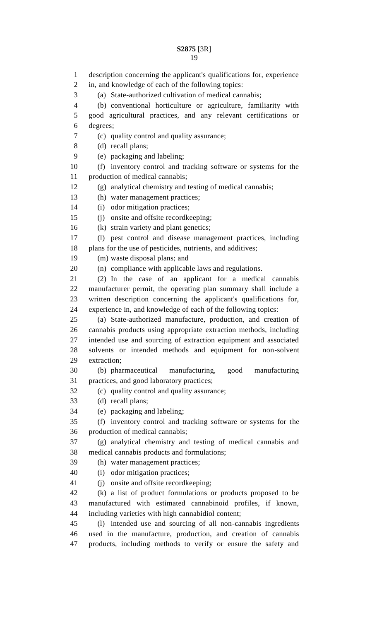description concerning the applicant's qualifications for, experience in, and knowledge of each of the following topics: (a) State-authorized cultivation of medical cannabis; (b) conventional horticulture or agriculture, familiarity with good agricultural practices, and any relevant certifications or degrees; (c) quality control and quality assurance; (d) recall plans; (e) packaging and labeling; (f) inventory control and tracking software or systems for the production of medical cannabis; (g) analytical chemistry and testing of medical cannabis; (h) water management practices; (i) odor mitigation practices; (j) onsite and offsite recordkeeping; (k) strain variety and plant genetics; (l) pest control and disease management practices, including plans for the use of pesticides, nutrients, and additives; (m) waste disposal plans; and (n) compliance with applicable laws and regulations. (2) In the case of an applicant for a medical cannabis manufacturer permit, the operating plan summary shall include a written description concerning the applicant's qualifications for, experience in, and knowledge of each of the following topics: (a) State-authorized manufacture, production, and creation of cannabis products using appropriate extraction methods, including intended use and sourcing of extraction equipment and associated solvents or intended methods and equipment for non-solvent extraction; (b) pharmaceutical manufacturing, good manufacturing practices, and good laboratory practices; (c) quality control and quality assurance; (d) recall plans; (e) packaging and labeling; (f) inventory control and tracking software or systems for the production of medical cannabis; (g) analytical chemistry and testing of medical cannabis and medical cannabis products and formulations; (h) water management practices; (i) odor mitigation practices; (j) onsite and offsite recordkeeping; (k) a list of product formulations or products proposed to be manufactured with estimated cannabinoid profiles, if known, including varieties with high cannabidiol content; (l) intended use and sourcing of all non-cannabis ingredients used in the manufacture, production, and creation of cannabis products, including methods to verify or ensure the safety and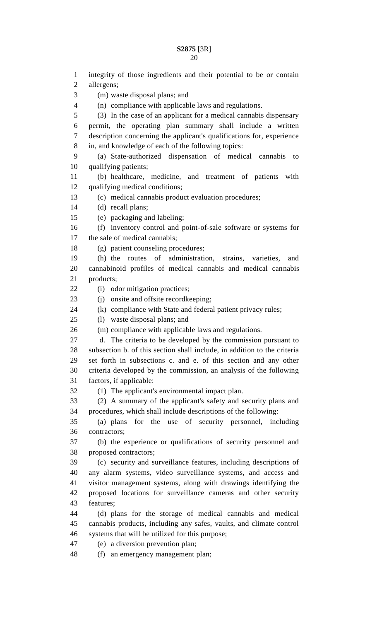| ۰.<br>× |
|---------|
|         |
|         |
|         |
|         |
|         |
|         |
|         |
|         |

 integrity of those ingredients and their potential to be or contain allergens; (m) waste disposal plans; and (n) compliance with applicable laws and regulations. (3) In the case of an applicant for a medical cannabis dispensary permit, the operating plan summary shall include a written description concerning the applicant's qualifications for, experience in, and knowledge of each of the following topics: (a) State-authorized dispensation of medical cannabis to qualifying patients; (b) healthcare, medicine, and treatment of patients with qualifying medical conditions; (c) medical cannabis product evaluation procedures; (d) recall plans; (e) packaging and labeling; (f) inventory control and point-of-sale software or systems for the sale of medical cannabis; (g) patient counseling procedures; (h) the routes of administration, strains, varieties, and cannabinoid profiles of medical cannabis and medical cannabis products; 22 (i) odor mitigation practices; (j) onsite and offsite recordkeeping; (k) compliance with State and federal patient privacy rules; (l) waste disposal plans; and (m) compliance with applicable laws and regulations. d. The criteria to be developed by the commission pursuant to subsection b. of this section shall include, in addition to the criteria set forth in subsections c. and e. of this section and any other criteria developed by the commission, an analysis of the following factors, if applicable: (1) The applicant's environmental impact plan. (2) A summary of the applicant's safety and security plans and procedures, which shall include descriptions of the following: (a) plans for the use of security personnel, including contractors; (b) the experience or qualifications of security personnel and proposed contractors; (c) security and surveillance features, including descriptions of any alarm systems, video surveillance systems, and access and visitor management systems, along with drawings identifying the proposed locations for surveillance cameras and other security features; (d) plans for the storage of medical cannabis and medical cannabis products, including any safes, vaults, and climate control systems that will be utilized for this purpose; (e) a diversion prevention plan;

(f) an emergency management plan;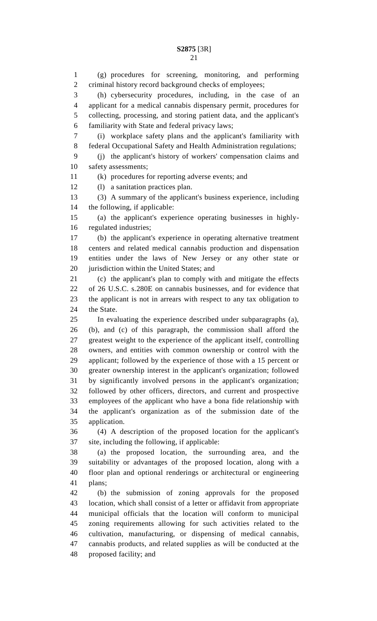(g) procedures for screening, monitoring, and performing criminal history record background checks of employees; (h) cybersecurity procedures, including, in the case of an applicant for a medical cannabis dispensary permit, procedures for collecting, processing, and storing patient data, and the applicant's familiarity with State and federal privacy laws; (i) workplace safety plans and the applicant's familiarity with federal Occupational Safety and Health Administration regulations; (j) the applicant's history of workers' compensation claims and safety assessments; (k) procedures for reporting adverse events; and (l) a sanitation practices plan. (3) A summary of the applicant's business experience, including the following, if applicable: (a) the applicant's experience operating businesses in highly- regulated industries; (b) the applicant's experience in operating alternative treatment centers and related medical cannabis production and dispensation entities under the laws of New Jersey or any other state or jurisdiction within the United States; and (c) the applicant's plan to comply with and mitigate the effects of 26 U.S.C. s.280E on cannabis businesses, and for evidence that the applicant is not in arrears with respect to any tax obligation to the State. In evaluating the experience described under subparagraphs (a), (b), and (c) of this paragraph, the commission shall afford the greatest weight to the experience of the applicant itself, controlling owners, and entities with common ownership or control with the applicant; followed by the experience of those with a 15 percent or greater ownership interest in the applicant's organization; followed by significantly involved persons in the applicant's organization; followed by other officers, directors, and current and prospective employees of the applicant who have a bona fide relationship with the applicant's organization as of the submission date of the application. (4) A description of the proposed location for the applicant's site, including the following, if applicable: (a) the proposed location, the surrounding area, and the suitability or advantages of the proposed location, along with a floor plan and optional renderings or architectural or engineering plans; (b) the submission of zoning approvals for the proposed location, which shall consist of a letter or affidavit from appropriate municipal officials that the location will conform to municipal zoning requirements allowing for such activities related to the cultivation, manufacturing, or dispensing of medical cannabis, cannabis products, and related supplies as will be conducted at the proposed facility; and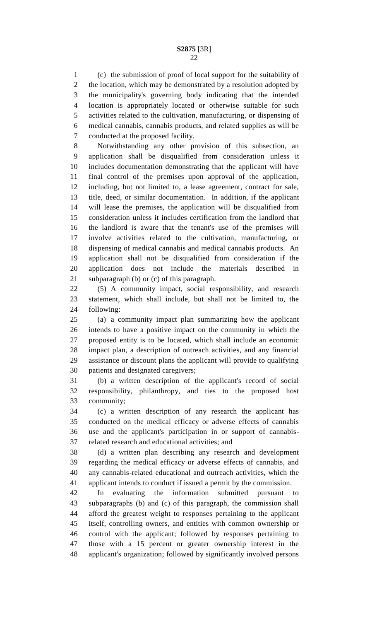(c) the submission of proof of local support for the suitability of 2 the location, which may be demonstrated by a resolution adopted by the municipality's governing body indicating that the intended location is appropriately located or otherwise suitable for such activities related to the cultivation, manufacturing, or dispensing of medical cannabis, cannabis products, and related supplies as will be conducted at the proposed facility.

 Notwithstanding any other provision of this subsection, an application shall be disqualified from consideration unless it includes documentation demonstrating that the applicant will have final control of the premises upon approval of the application, including, but not limited to, a lease agreement, contract for sale, title, deed, or similar documentation. In addition, if the applicant will lease the premises, the application will be disqualified from consideration unless it includes certification from the landlord that the landlord is aware that the tenant's use of the premises will involve activities related to the cultivation, manufacturing, or dispensing of medical cannabis and medical cannabis products. An application shall not be disqualified from consideration if the application does not include the materials described in subparagraph (b) or (c) of this paragraph.

 (5) A community impact, social responsibility, and research statement, which shall include, but shall not be limited to, the following:

 (a) a community impact plan summarizing how the applicant intends to have a positive impact on the community in which the proposed entity is to be located, which shall include an economic impact plan, a description of outreach activities, and any financial assistance or discount plans the applicant will provide to qualifying patients and designated caregivers;

 (b) a written description of the applicant's record of social responsibility, philanthropy, and ties to the proposed host community;

 (c) a written description of any research the applicant has conducted on the medical efficacy or adverse effects of cannabis use and the applicant's participation in or support of cannabis-related research and educational activities; and

 (d) a written plan describing any research and development regarding the medical efficacy or adverse effects of cannabis, and any cannabis-related educational and outreach activities, which the applicant intends to conduct if issued a permit by the commission.

 In evaluating the information submitted pursuant to subparagraphs (b) and (c) of this paragraph, the commission shall afford the greatest weight to responses pertaining to the applicant itself, controlling owners, and entities with common ownership or control with the applicant; followed by responses pertaining to those with a 15 percent or greater ownership interest in the applicant's organization; followed by significantly involved persons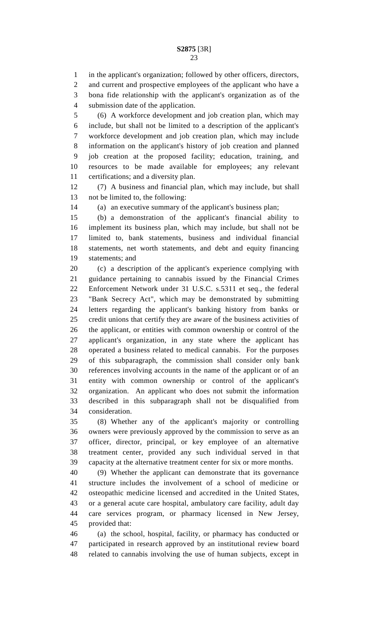in the applicant's organization; followed by other officers, directors,

 and current and prospective employees of the applicant who have a bona fide relationship with the applicant's organization as of the submission date of the application.

 (6) A workforce development and job creation plan, which may include, but shall not be limited to a description of the applicant's workforce development and job creation plan, which may include information on the applicant's history of job creation and planned job creation at the proposed facility; education, training, and resources to be made available for employees; any relevant certifications; and a diversity plan.

 (7) A business and financial plan, which may include, but shall not be limited to, the following:

(a) an executive summary of the applicant's business plan;

 (b) a demonstration of the applicant's financial ability to implement its business plan, which may include, but shall not be limited to, bank statements, business and individual financial statements, net worth statements, and debt and equity financing statements; and

 (c) a description of the applicant's experience complying with guidance pertaining to cannabis issued by the Financial Crimes Enforcement Network under 31 U.S.C. s.5311 et seq., the federal "Bank Secrecy Act", which may be demonstrated by submitting letters regarding the applicant's banking history from banks or credit unions that certify they are aware of the business activities of the applicant, or entities with common ownership or control of the applicant's organization, in any state where the applicant has operated a business related to medical cannabis. For the purposes of this subparagraph, the commission shall consider only bank references involving accounts in the name of the applicant or of an entity with common ownership or control of the applicant's organization. An applicant who does not submit the information described in this subparagraph shall not be disqualified from consideration.

 (8) Whether any of the applicant's majority or controlling owners were previously approved by the commission to serve as an officer, director, principal, or key employee of an alternative treatment center, provided any such individual served in that capacity at the alternative treatment center for six or more months.

 (9) Whether the applicant can demonstrate that its governance structure includes the involvement of a school of medicine or osteopathic medicine licensed and accredited in the United States, or a general acute care hospital, ambulatory care facility, adult day care services program, or pharmacy licensed in New Jersey, provided that:

 (a) the school, hospital, facility, or pharmacy has conducted or participated in research approved by an institutional review board related to cannabis involving the use of human subjects, except in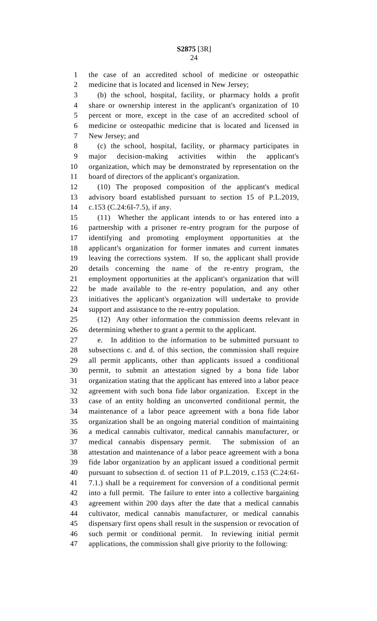the case of an accredited school of medicine or osteopathic medicine that is located and licensed in New Jersey;

 (b) the school, hospital, facility, or pharmacy holds a profit share or ownership interest in the applicant's organization of 10 percent or more, except in the case of an accredited school of medicine or osteopathic medicine that is located and licensed in New Jersey; and

 (c) the school, hospital, facility, or pharmacy participates in major decision-making activities within the applicant's organization, which may be demonstrated by representation on the board of directors of the applicant's organization.

 (10) The proposed composition of the applicant's medical advisory board established pursuant to section 15 of P.L.2019, c.153 (C.24:6I-7.5), if any.

 (11) Whether the applicant intends to or has entered into a partnership with a prisoner re-entry program for the purpose of identifying and promoting employment opportunities at the applicant's organization for former inmates and current inmates leaving the corrections system. If so, the applicant shall provide details concerning the name of the re-entry program, the employment opportunities at the applicant's organization that will be made available to the re-entry population, and any other initiatives the applicant's organization will undertake to provide support and assistance to the re-entry population.

 (12) Any other information the commission deems relevant in determining whether to grant a permit to the applicant.

 e. In addition to the information to be submitted pursuant to subsections c. and d. of this section, the commission shall require all permit applicants, other than applicants issued a conditional permit, to submit an attestation signed by a bona fide labor organization stating that the applicant has entered into a labor peace agreement with such bona fide labor organization. Except in the case of an entity holding an unconverted conditional permit, the maintenance of a labor peace agreement with a bona fide labor organization shall be an ongoing material condition of maintaining a medical cannabis cultivator, medical cannabis manufacturer, or medical cannabis dispensary permit. The submission of an attestation and maintenance of a labor peace agreement with a bona fide labor organization by an applicant issued a conditional permit pursuant to subsection d. of section 11 of P.L.2019, c.153 (C.24:6I- 7.1.) shall be a requirement for conversion of a conditional permit into a full permit. The failure to enter into a collective bargaining agreement within 200 days after the date that a medical cannabis cultivator, medical cannabis manufacturer, or medical cannabis dispensary first opens shall result in the suspension or revocation of such permit or conditional permit. In reviewing initial permit applications, the commission shall give priority to the following: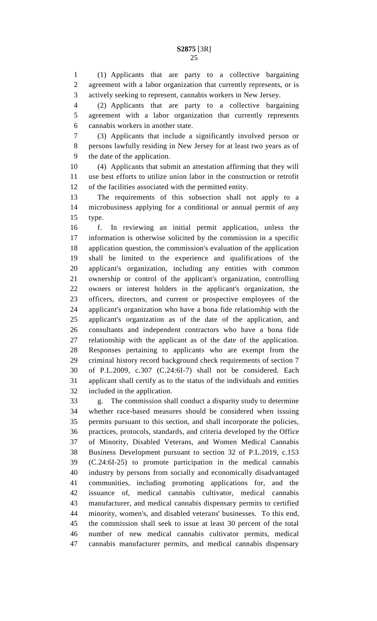(1) Applicants that are party to a collective bargaining agreement with a labor organization that currently represents, or is actively seeking to represent, cannabis workers in New Jersey.

 (2) Applicants that are party to a collective bargaining agreement with a labor organization that currently represents cannabis workers in another state.

 (3) Applicants that include a significantly involved person or persons lawfully residing in New Jersey for at least two years as of the date of the application.

 (4) Applicants that submit an attestation affirming that they will use best efforts to utilize union labor in the construction or retrofit of the facilities associated with the permitted entity.

 The requirements of this subsection shall not apply to a microbusiness applying for a conditional or annual permit of any type.

 f. In reviewing an initial permit application, unless the information is otherwise solicited by the commission in a specific application question, the commission's evaluation of the application shall be limited to the experience and qualifications of the applicant's organization, including any entities with common ownership or control of the applicant's organization, controlling owners or interest holders in the applicant's organization, the officers, directors, and current or prospective employees of the applicant's organization who have a bona fide relationship with the applicant's organization as of the date of the application, and consultants and independent contractors who have a bona fide relationship with the applicant as of the date of the application. Responses pertaining to applicants who are exempt from the criminal history record background check requirements of section 7 of P.L.2009, c.307 (C.24:6I-7) shall not be considered. Each applicant shall certify as to the status of the individuals and entities included in the application.

 g. The commission shall conduct a disparity study to determine whether race-based measures should be considered when issuing permits pursuant to this section, and shall incorporate the policies, practices, protocols, standards, and criteria developed by the Office of Minority, Disabled Veterans, and Women Medical Cannabis Business Development pursuant to section 32 of P.L.2019, c.153 (C.24:6I-25) to promote participation in the medical cannabis industry by persons from socially and economically disadvantaged communities, including promoting applications for, and the issuance of, medical cannabis cultivator, medical cannabis manufacturer, and medical cannabis dispensary permits to certified minority, women's, and disabled veterans' businesses. To this end, the commission shall seek to issue at least 30 percent of the total number of new medical cannabis cultivator permits, medical cannabis manufacturer permits, and medical cannabis dispensary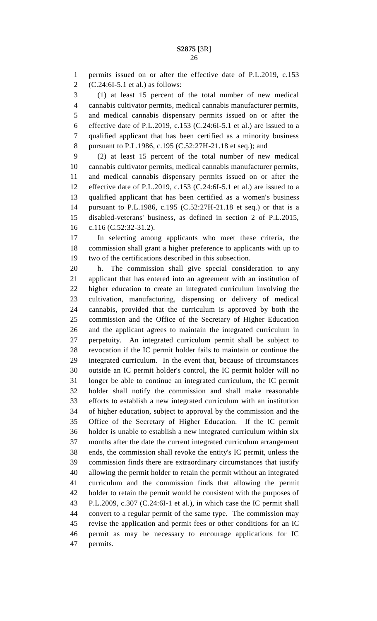permits issued on or after the effective date of P.L.2019, c.153 (C.24:6I-5.1 et al.) as follows:

 (1) at least 15 percent of the total number of new medical cannabis cultivator permits, medical cannabis manufacturer permits, and medical cannabis dispensary permits issued on or after the 6 effective date of P.L.2019, c.153 (C.24:6I-5.1 et al.) are issued to a qualified applicant that has been certified as a minority business pursuant to P.L.1986, c.195 (C.52:27H-21.18 et seq.); and

 (2) at least 15 percent of the total number of new medical cannabis cultivator permits, medical cannabis manufacturer permits, and medical cannabis dispensary permits issued on or after the effective date of P.L.2019, c.153 (C.24:6I-5.1 et al.) are issued to a qualified applicant that has been certified as a women's business pursuant to P.L.1986, c.195 (C.52:27H-21.18 et seq.) or that is a disabled-veterans' business, as defined in section 2 of P.L.2015, c.116 (C.52:32-31.2).

 In selecting among applicants who meet these criteria, the commission shall grant a higher preference to applicants with up to two of the certifications described in this subsection.

 h. The commission shall give special consideration to any applicant that has entered into an agreement with an institution of higher education to create an integrated curriculum involving the cultivation, manufacturing, dispensing or delivery of medical cannabis, provided that the curriculum is approved by both the commission and the Office of the Secretary of Higher Education and the applicant agrees to maintain the integrated curriculum in perpetuity. An integrated curriculum permit shall be subject to revocation if the IC permit holder fails to maintain or continue the integrated curriculum. In the event that, because of circumstances outside an IC permit holder's control, the IC permit holder will no longer be able to continue an integrated curriculum, the IC permit holder shall notify the commission and shall make reasonable efforts to establish a new integrated curriculum with an institution of higher education, subject to approval by the commission and the Office of the Secretary of Higher Education. If the IC permit holder is unable to establish a new integrated curriculum within six months after the date the current integrated curriculum arrangement ends, the commission shall revoke the entity's IC permit, unless the commission finds there are extraordinary circumstances that justify allowing the permit holder to retain the permit without an integrated curriculum and the commission finds that allowing the permit holder to retain the permit would be consistent with the purposes of P.L.2009, c.307 (C.24:6I-1 et al.), in which case the IC permit shall convert to a regular permit of the same type. The commission may revise the application and permit fees or other conditions for an IC permit as may be necessary to encourage applications for IC permits.